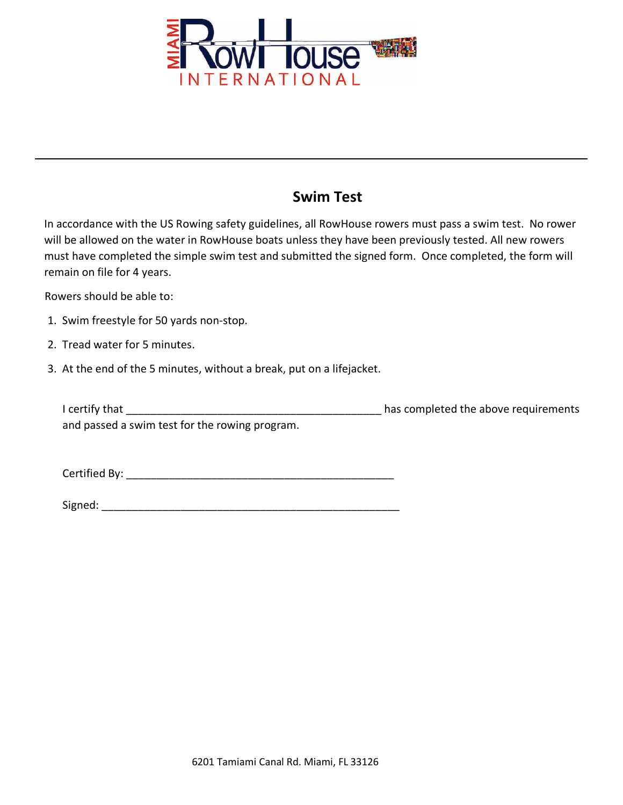

## **Swim Test**

In accordance with the US Rowing safety guidelines, all RowHouse rowers must pass a swim test. No rower will be allowed on the water in RowHouse boats unless they have been previously tested. All new rowers must have completed the simple swim test and submitted the signed form. Once completed, the form will remain on file for 4 years.

Rowers should be able to:

- 1. Swim freestyle for 50 yards non-stop.
- 2. Tread water for 5 minutes.
- 3. At the end of the 5 minutes, without a break, put on a lifejacket.

| I certify that                                 | has completed the above requirements |
|------------------------------------------------|--------------------------------------|
| and passed a swim test for the rowing program. |                                      |

Certified By: **Example 20** 

| Signed: |  |
|---------|--|
|         |  |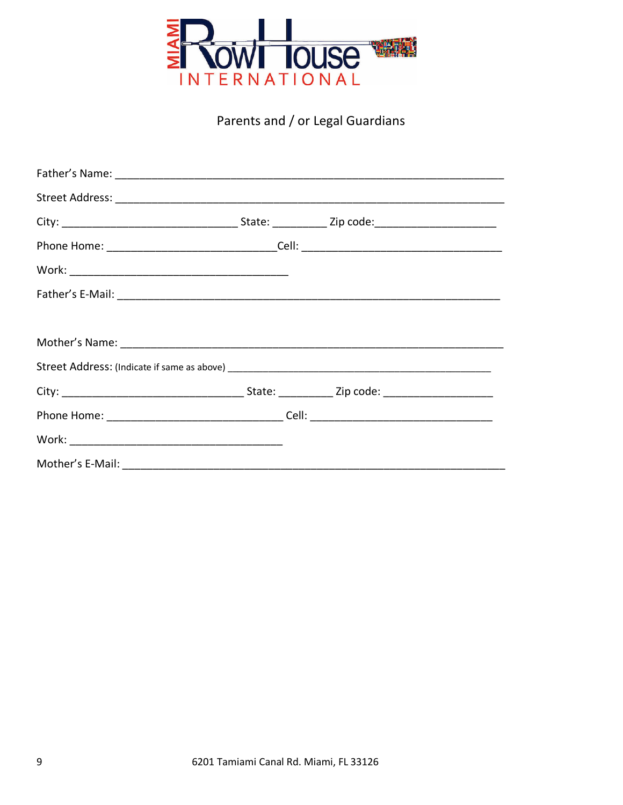

## Parents and / or Legal Guardians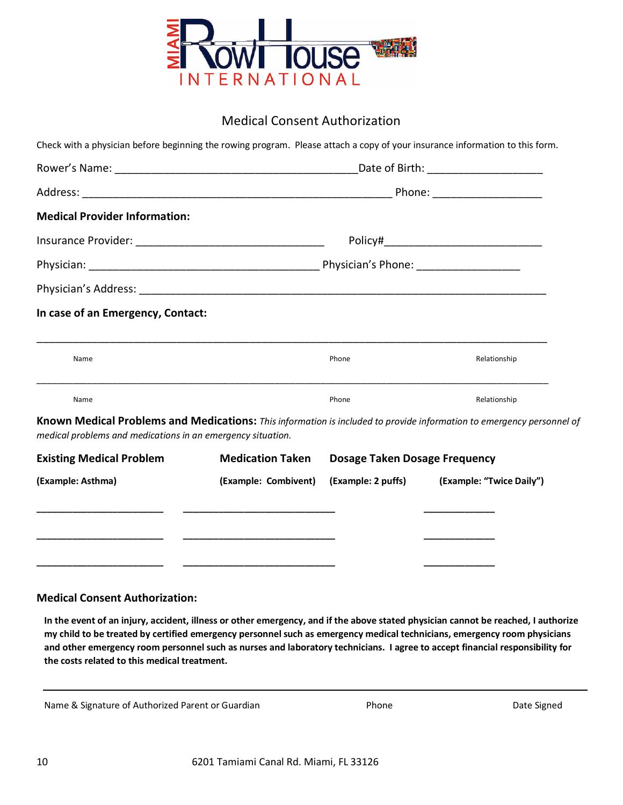

### Medical Consent Authorization

| In case of an Emergency, Contact:                                                                                                                                                    |                         |                                      |              |
|--------------------------------------------------------------------------------------------------------------------------------------------------------------------------------------|-------------------------|--------------------------------------|--------------|
|                                                                                                                                                                                      |                         |                                      |              |
| Name                                                                                                                                                                                 |                         | Phone                                | Relationship |
|                                                                                                                                                                                      |                         |                                      |              |
| Name                                                                                                                                                                                 |                         | Phone                                | Relationship |
| Known Medical Problems and Medications: This information is included to provide information to emergency personnel of<br>medical problems and medications in an emergency situation. |                         |                                      |              |
| <b>Existing Medical Problem</b>                                                                                                                                                      | <b>Medication Taken</b> | <b>Dosage Taken Dosage Frequency</b> |              |

#### **Medical Consent Authorization:**

In the event of an injury, accident, illness or other emergency, and if the above stated physician cannot be reached, I authorize my child to be treated by certified emergency personnel such as emergency medical technicians, emergency room physicians and other emergency room personnel such as nurses and laboratory technicians. I agree to accept financial responsibility for **the costs related to this medical treatment.**

Name & Signature of Authorized Parent or Guardian **Phone** Phone Phone Date Signed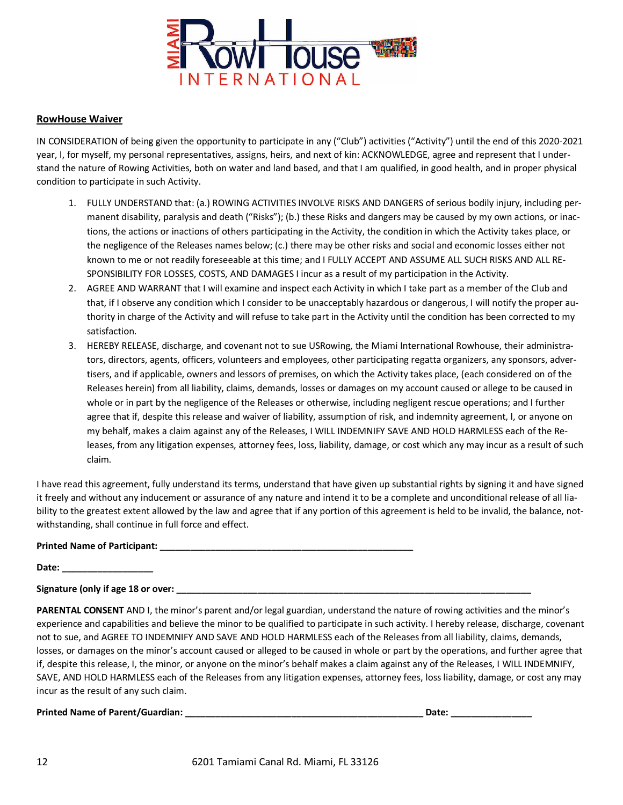

#### **RowHouse Waiver**

IN CONSIDERATION of being given the opportunity to participate in any ("Club") activities ("Activity") until the end of this 2020-2021 year, I, for myself, my personal representatives, assigns, heirs, and next of kin: ACKNOWLEDGE, agree and represent that I understand the nature of Rowing Activities, both on water and land based, and that I am qualified, in good health, and in proper physical condition to participate in such Activity.

- 1. FULLY UNDERSTAND that: (a.) ROWING ACTIVITIES INVOLVE RISKS AND DANGERS of serious bodily injury, including permanent disability, paralysis and death ("Risks"); (b.) these Risks and dangers may be caused by my own actions, or inactions, the actions or inactions of others participating in the Activity, the condition in which the Activity takes place, or the negligence of the Releases names below; (c.) there may be other risks and social and economic losses either not known to me or not readily foreseeable at this time; and I FULLY ACCEPT AND ASSUME ALL SUCH RISKS AND ALL RE-SPONSIBILITY FOR LOSSES, COSTS, AND DAMAGES I incur as a result of my participation in the Activity.
- 2. AGREE AND WARRANT that I will examine and inspect each Activity in which I take part as a member of the Club and that, if I observe any condition which I consider to be unacceptably hazardous or dangerous, I will notify the proper authority in charge of the Activity and will refuse to take part in the Activity until the condition has been corrected to my satisfaction.
- 3. HEREBY RELEASE, discharge, and covenant not to sue USRowing, the Miami International Rowhouse, their administrators, directors, agents, officers, volunteers and employees, other participating regatta organizers, any sponsors, advertisers, and if applicable, owners and lessors of premises, on which the Activity takes place, (each considered on of the Releases herein) from all liability, claims, demands, losses or damages on my account caused or allege to be caused in whole or in part by the negligence of the Releases or otherwise, including negligent rescue operations; and I further agree that if, despite this release and waiver of liability, assumption of risk, and indemnity agreement, I, or anyone on my behalf, makes a claim against any of the Releases, I WILL INDEMNIFY SAVE AND HOLD HARMLESS each of the Releases, from any litigation expenses, attorney fees, loss, liability, damage, or cost which any may incur as a result of such claim.

I have read this agreement, fully understand its terms, understand that have given up substantial rights by signing it and have signed it freely and without any inducement or assurance of any nature and intend it to be a complete and unconditional release of all liability to the greatest extent allowed by the law and agree that if any portion of this agreement is held to be invalid, the balance, notwithstanding, shall continue in full force and effect.

#### **Printed Name of Participant: \_\_\_\_\_\_\_\_\_\_\_\_\_\_\_\_\_\_\_\_\_\_\_\_\_\_\_\_\_\_\_\_\_\_\_\_\_\_\_\_\_\_\_\_\_\_\_\_\_\_**

**Date: \_\_\_\_\_\_\_\_\_\_\_\_\_\_\_\_\_\_**

**Signature (only if age 18 or over: \_\_\_\_\_\_\_\_\_\_\_\_\_\_\_\_\_\_\_\_\_\_\_\_\_\_\_\_\_\_\_\_\_\_\_\_\_\_\_\_\_\_\_\_\_\_\_\_\_\_\_\_\_\_\_\_\_\_\_\_\_\_\_\_\_\_\_\_\_\_**

**PARENTAL CONSENT** AND I, the minor's parent and/or legal guardian, understand the nature of rowing activities and the minor's experience and capabilities and believe the minor to be qualified to participate in such activity. I hereby release, discharge, covenant not to sue, and AGREE TO INDEMNIFY AND SAVE AND HOLD HARMLESS each of the Releases from all liability, claims, demands, losses, or damages on the minor's account caused or alleged to be caused in whole or part by the operations, and further agree that if, despite this release, I, the minor, or anyone on the minor's behalf makes a claim against any of the Releases, I WILL INDEMNIFY, SAVE, AND HOLD HARMLESS each of the Releases from any litigation expenses, attorney fees, loss liability, damage, or cost any may incur as the result of any such claim.

**Printed Name of Parent/Guardian: \_\_\_\_\_\_\_\_\_\_\_\_\_\_\_\_\_\_\_\_\_\_\_\_\_\_\_\_\_\_\_\_\_\_\_\_\_\_\_\_\_\_\_\_\_\_\_ Date: \_\_\_\_\_\_\_\_\_\_\_\_\_\_\_\_**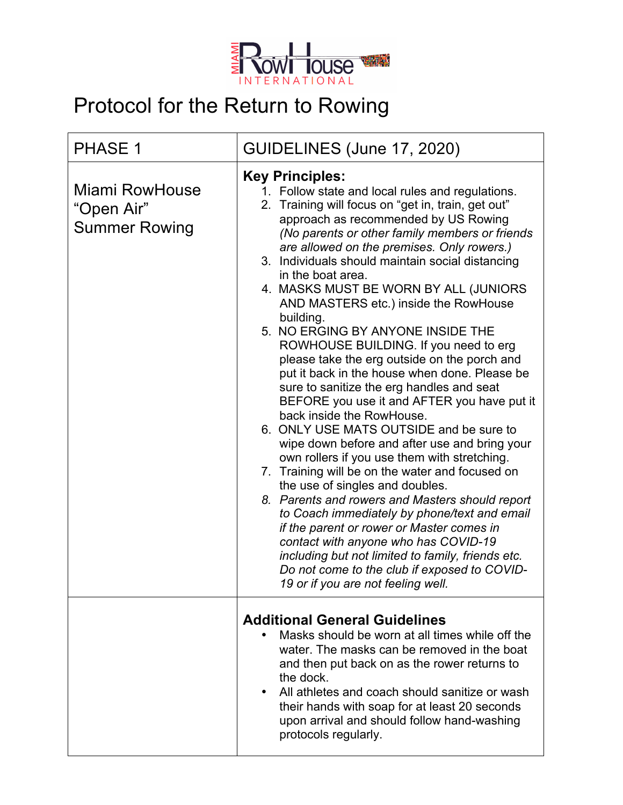

# Protocol for the Return to Rowing

| <b>PHASE 1</b>                                              | GUIDELINES (June 17, 2020)                                                                                                                                                                                                                                                                                                                                                                                                                                                                                                                                                                                                                                                                                                                                                                                                                                                                                                                                                                                                                                                                                                                                                                                                                                                                                                    |
|-------------------------------------------------------------|-------------------------------------------------------------------------------------------------------------------------------------------------------------------------------------------------------------------------------------------------------------------------------------------------------------------------------------------------------------------------------------------------------------------------------------------------------------------------------------------------------------------------------------------------------------------------------------------------------------------------------------------------------------------------------------------------------------------------------------------------------------------------------------------------------------------------------------------------------------------------------------------------------------------------------------------------------------------------------------------------------------------------------------------------------------------------------------------------------------------------------------------------------------------------------------------------------------------------------------------------------------------------------------------------------------------------------|
| <b>Miami RowHouse</b><br>"Open Air"<br><b>Summer Rowing</b> | <b>Key Principles:</b><br>1. Follow state and local rules and regulations.<br>2. Training will focus on "get in, train, get out"<br>approach as recommended by US Rowing<br>(No parents or other family members or friends<br>are allowed on the premises. Only rowers.)<br>3. Individuals should maintain social distancing<br>in the boat area.<br>4. MASKS MUST BE WORN BY ALL (JUNIORS<br>AND MASTERS etc.) inside the RowHouse<br>building.<br>5. NO ERGING BY ANYONE INSIDE THE<br>ROWHOUSE BUILDING. If you need to erg<br>please take the erg outside on the porch and<br>put it back in the house when done. Please be<br>sure to sanitize the erg handles and seat<br>BEFORE you use it and AFTER you have put it<br>back inside the RowHouse.<br>6. ONLY USE MATS OUTSIDE and be sure to<br>wipe down before and after use and bring your<br>own rollers if you use them with stretching.<br>7. Training will be on the water and focused on<br>the use of singles and doubles.<br>8. Parents and rowers and Masters should report<br>to Coach immediately by phone/text and email<br>if the parent or rower or Master comes in<br>contact with anyone who has COVID-19<br>including but not limited to family, friends etc.<br>Do not come to the club if exposed to COVID-<br>19 or if you are not feeling well. |
|                                                             | <b>Additional General Guidelines</b><br>Masks should be worn at all times while off the<br>water. The masks can be removed in the boat<br>and then put back on as the rower returns to<br>the dock.<br>All athletes and coach should sanitize or wash<br>their hands with soap for at least 20 seconds<br>upon arrival and should follow hand-washing<br>protocols regularly.                                                                                                                                                                                                                                                                                                                                                                                                                                                                                                                                                                                                                                                                                                                                                                                                                                                                                                                                                 |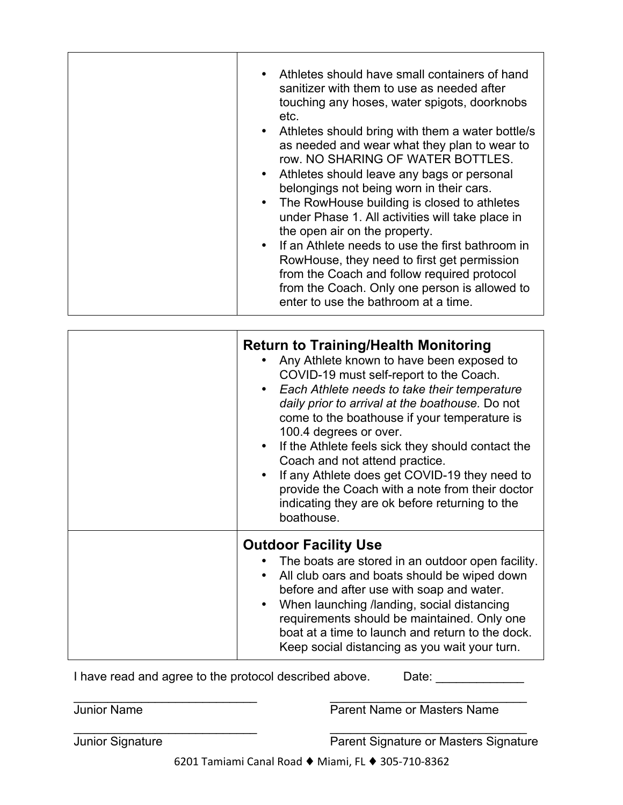| <b>Return to Training/Health Monitoring</b><br>Any Athlete known to have been exposed to<br>COVID-19 must self-report to the Coach.<br>• Each Athlete needs to take their temperature<br>daily prior to arrival at the boathouse. Do not<br>come to the boathouse if your temperature is<br>100.4 degrees or over.<br>• If the Athlete feels sick they should contact the<br>Coach and not attend practice.<br>If any Athlete does get COVID-19 they need to<br>provide the Coach with a note from their doctor<br>indicating they are ok before returning to the<br>boathouse. |
|---------------------------------------------------------------------------------------------------------------------------------------------------------------------------------------------------------------------------------------------------------------------------------------------------------------------------------------------------------------------------------------------------------------------------------------------------------------------------------------------------------------------------------------------------------------------------------|
| <b>Outdoor Facility Use</b><br>The boats are stored in an outdoor open facility.<br>All club oars and boats should be wiped down<br>before and after use with soap and water.<br>When launching /landing, social distancing<br>requirements should be maintained. Only one<br>boat at a time to launch and return to the dock.<br>Keep social distancing as you wait your turn.                                                                                                                                                                                                 |

I have read and agree to the protocol described above. Date: \_\_\_\_\_\_\_\_\_\_\_\_\_

\_\_\_\_\_\_\_\_\_\_\_\_\_\_\_\_\_\_\_\_\_\_\_\_\_\_\_ \_\_\_\_\_\_\_\_\_\_\_\_\_\_\_\_\_\_\_\_\_\_\_\_\_\_\_\_\_

**Junior Name** <br> **Parent Name or Masters Name** 

\_\_\_\_\_\_\_\_\_\_\_\_\_\_\_\_\_\_\_\_\_\_\_\_\_\_\_ \_\_\_\_\_\_\_\_\_\_\_\_\_\_\_\_\_\_\_\_\_\_\_\_\_\_\_\_\_

Junior Signature Parent Signature or Masters Signature

6201 Tamiami Canal Road ♦ Miami, FL ♦ 305-710-8362